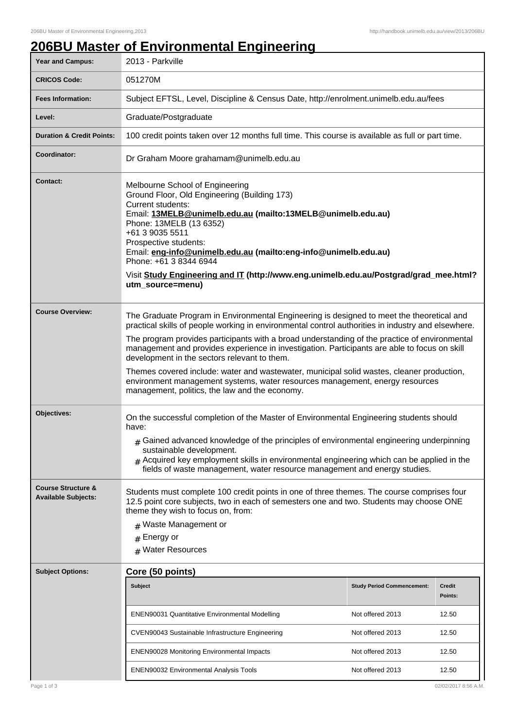# **206BU Master of Environmental Engineering**

| <b>Year and Campus:</b>                                     | 2013 - Parkville                                                                                                                                                                                                                                                                                                                                                                                                                                                                                                                                                                                                              |                                   |                          |
|-------------------------------------------------------------|-------------------------------------------------------------------------------------------------------------------------------------------------------------------------------------------------------------------------------------------------------------------------------------------------------------------------------------------------------------------------------------------------------------------------------------------------------------------------------------------------------------------------------------------------------------------------------------------------------------------------------|-----------------------------------|--------------------------|
| <b>CRICOS Code:</b>                                         | 051270M                                                                                                                                                                                                                                                                                                                                                                                                                                                                                                                                                                                                                       |                                   |                          |
| <b>Fees Information:</b>                                    | Subject EFTSL, Level, Discipline & Census Date, http://enrolment.unimelb.edu.au/fees                                                                                                                                                                                                                                                                                                                                                                                                                                                                                                                                          |                                   |                          |
| Level:                                                      | Graduate/Postgraduate                                                                                                                                                                                                                                                                                                                                                                                                                                                                                                                                                                                                         |                                   |                          |
| <b>Duration &amp; Credit Points:</b>                        | 100 credit points taken over 12 months full time. This course is available as full or part time.                                                                                                                                                                                                                                                                                                                                                                                                                                                                                                                              |                                   |                          |
| Coordinator:                                                | Dr Graham Moore grahamam@unimelb.edu.au                                                                                                                                                                                                                                                                                                                                                                                                                                                                                                                                                                                       |                                   |                          |
| <b>Contact:</b>                                             | Melbourne School of Engineering<br>Ground Floor, Old Engineering (Building 173)<br>Current students:<br>Email: 13MELB@unimelb.edu.au (mailto:13MELB@unimelb.edu.au)<br>Phone: 13MELB (13 6352)<br>+61 3 9035 5511<br>Prospective students:<br>Email: eng-info@unimelb.edu.au (mailto:eng-info@unimelb.edu.au)<br>Phone: +61 3 8344 6944<br>Visit Study Engineering and IT (http://www.eng.unimelb.edu.au/Postgrad/grad_mee.html?<br>utm_source=menu)                                                                                                                                                                          |                                   |                          |
| <b>Course Overview:</b>                                     | The Graduate Program in Environmental Engineering is designed to meet the theoretical and<br>practical skills of people working in environmental control authorities in industry and elsewhere.<br>The program provides participants with a broad understanding of the practice of environmental<br>management and provides experience in investigation. Participants are able to focus on skill<br>development in the sectors relevant to them.<br>Themes covered include: water and wastewater, municipal solid wastes, cleaner production,<br>environment management systems, water resources management, energy resources |                                   |                          |
| Objectives:                                                 | management, politics, the law and the economy.<br>On the successful completion of the Master of Environmental Engineering students should<br>have:<br>$*$ Gained advanced knowledge of the principles of environmental engineering underpinning<br>sustainable development.<br>$_{\#}$ Acquired key employment skills in environmental engineering which can be applied in the<br>fields of waste management, water resource management and energy studies.                                                                                                                                                                   |                                   |                          |
| <b>Course Structure &amp;</b><br><b>Available Subjects:</b> | Students must complete 100 credit points in one of three themes. The course comprises four<br>12.5 point core subjects, two in each of semesters one and two. Students may choose ONE<br>theme they wish to focus on, from:<br># Waste Management or<br>$#$ Energy or<br># Water Resources                                                                                                                                                                                                                                                                                                                                    |                                   |                          |
| <b>Subject Options:</b>                                     | Core (50 points)                                                                                                                                                                                                                                                                                                                                                                                                                                                                                                                                                                                                              |                                   |                          |
|                                                             | <b>Subject</b>                                                                                                                                                                                                                                                                                                                                                                                                                                                                                                                                                                                                                | <b>Study Period Commencement:</b> | <b>Credit</b><br>Points: |
|                                                             | <b>ENEN90031 Quantitative Environmental Modelling</b>                                                                                                                                                                                                                                                                                                                                                                                                                                                                                                                                                                         | Not offered 2013                  | 12.50                    |
|                                                             | CVEN90043 Sustainable Infrastructure Engineering                                                                                                                                                                                                                                                                                                                                                                                                                                                                                                                                                                              | Not offered 2013                  | 12.50                    |
|                                                             | <b>ENEN90028 Monitoring Environmental Impacts</b>                                                                                                                                                                                                                                                                                                                                                                                                                                                                                                                                                                             | Not offered 2013                  | 12.50                    |
|                                                             | <b>ENEN90032 Environmental Analysis Tools</b>                                                                                                                                                                                                                                                                                                                                                                                                                                                                                                                                                                                 | Not offered 2013                  | 12.50                    |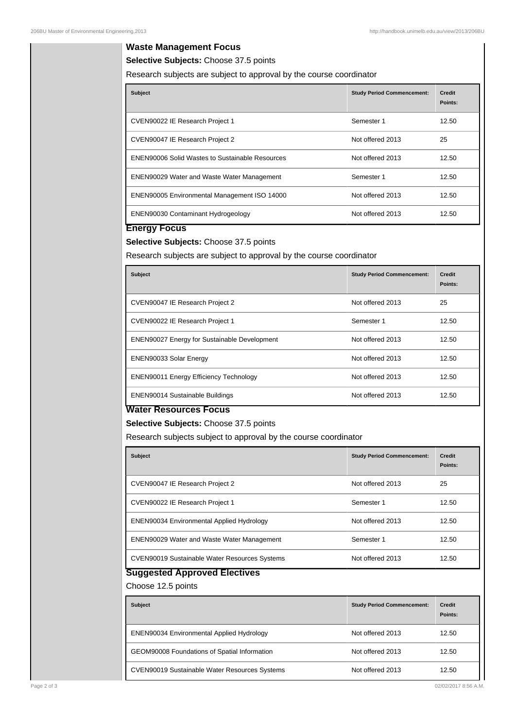### **Waste Management Focus**

**Selective Subjects:** Choose 37.5 points

Research subjects are subject to approval by the course coordinator

| <b>Subject</b>                                         | <b>Study Period Commencement:</b> | <b>Credit</b><br>Points: |
|--------------------------------------------------------|-----------------------------------|--------------------------|
| CVEN90022 IE Research Project 1                        | Semester 1                        | 12.50                    |
| CVEN90047 IE Research Project 2                        | Not offered 2013                  | 25                       |
| <b>ENEN90006 Solid Wastes to Sustainable Resources</b> | Not offered 2013                  | 12.50                    |
| <b>ENEN90029 Water and Waste Water Management</b>      | Semester 1                        | 12.50                    |
| <b>ENEN90005 Environmental Management ISO 14000</b>    | Not offered 2013                  | 12.50                    |
| <b>ENEN90030 Contaminant Hydrogeology</b>              | Not offered 2013                  | 12.50                    |

## **Energy Focus**

# **Selective Subjects:** Choose 37.5 points

Research subjects are subject to approval by the course coordinator

| <b>Subject</b>                                      | <b>Study Period Commencement:</b> | <b>Credit</b><br>Points: |
|-----------------------------------------------------|-----------------------------------|--------------------------|
| CVEN90047 IE Research Project 2                     | Not offered 2013                  | 25                       |
| CVEN90022 IE Research Project 1                     | Semester 1                        | 12.50                    |
| <b>ENEN90027 Energy for Sustainable Development</b> | Not offered 2013                  | 12.50                    |
| <b>ENEN90033 Solar Energy</b>                       | Not offered 2013                  | 12.50                    |
| <b>ENEN90011 Energy Efficiency Technology</b>       | Not offered 2013                  | 12.50                    |
| <b>ENEN90014 Sustainable Buildings</b>              | Not offered 2013                  | 12.50                    |

#### **Water Resources Focus**

**Selective Subjects:** Choose 37.5 points

Research subjects subject to approval by the course coordinator

| <b>Subject</b>                                       | <b>Study Period Commencement:</b> | <b>Credit</b><br>Points: |
|------------------------------------------------------|-----------------------------------|--------------------------|
| CVEN90047 IE Research Project 2                      | Not offered 2013                  | 25                       |
| CVEN90022 IE Research Project 1                      | Semester 1                        | 12.50                    |
| <b>ENEN90034 Environmental Applied Hydrology</b>     | Not offered 2013                  | 12.50                    |
| <b>ENEN90029 Water and Waste Water Management</b>    | Semester 1                        | 12.50                    |
| <b>CVEN90019 Sustainable Water Resources Systems</b> | Not offered 2013                  | 12.50                    |

# **Suggested Approved Electives**

Choose 12.5 points

| <b>Subject</b>                                       | <b>Study Period Commencement:</b> | <b>Credit</b><br>Points: |
|------------------------------------------------------|-----------------------------------|--------------------------|
| <b>ENEN90034 Environmental Applied Hydrology</b>     | Not offered 2013                  | 12.50                    |
| GEOM90008 Foundations of Spatial Information         | Not offered 2013                  | 12.50                    |
| <b>CVEN90019 Sustainable Water Resources Systems</b> | Not offered 2013                  | 12.50                    |